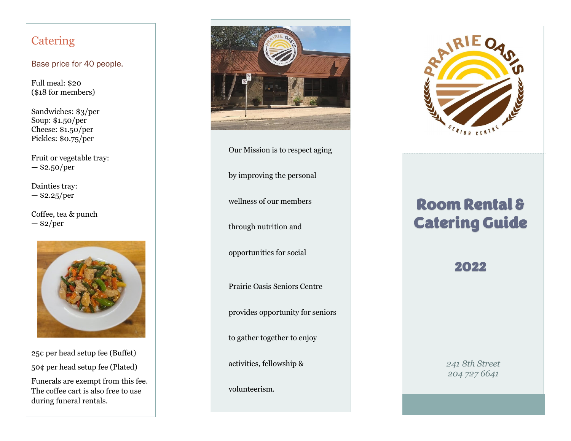### **Catering**

#### Base price for 40 people.

Full meal: \$20 (\$18 for members)

Sandwiches: \$3/per Soup: \$1.50/per Cheese: \$1.50/per Pickles: \$0.75/per

Fruit or vegetable tray: — \$2.50/per

Dainties tray:  $-$ \$2.25/per

Coffee, tea & punch  $-$ \$2/per



25¢ per head setup fee (Buffet) 50¢ per head setup fee (Plated)

Funerals are exempt from this fee. The coffee cart is also free to use during funeral rentals.



Our Mission is to respect aging

by improving the personal

wellness of our members

through nutrition and

opportunities for social

Prairie Oasis Seniors Centre

provides opportunity for seniors

to gather together to enjoy

activities, fellowship &

volunteerism.



# Room Rental & Catering Guide

# 2022

*241 8th Street 204 727 6641*